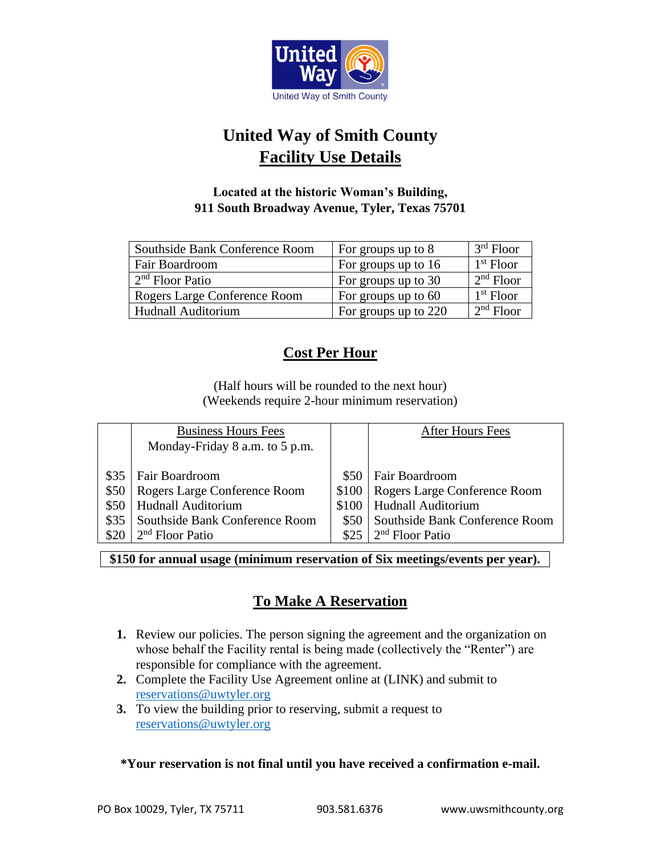

# **United Way of Smith County Facility Use Details**

## **Located at the historic Woman's Building, 911 South Broadway Avenue, Tyler, Texas 75701**

| Southside Bank Conference Room | For groups up to 8   | $3rd$ Floor |
|--------------------------------|----------------------|-------------|
| Fair Boardroom                 | For groups up to 16  | $1st$ Floor |
| $2nd$ Floor Patio              | For groups up to 30  | $2nd$ Floor |
| Rogers Large Conference Room   | For groups up to 60  | $1st$ Floor |
| Hudnall Auditorium             | For groups up to 220 | $2nd$ Floor |

## **Cost Per Hour**

(Half hours will be rounded to the next hour) (Weekends require 2-hour minimum reservation)

|      | <b>Business Hours Fees</b>     |       | <b>After Hours Fees</b>        |
|------|--------------------------------|-------|--------------------------------|
|      | Monday-Friday 8 a.m. to 5 p.m. |       |                                |
|      |                                |       |                                |
| \$35 | <b>Fair Boardroom</b>          | \$50  | Fair Boardroom                 |
| \$50 | Rogers Large Conference Room   | \$100 | Rogers Large Conference Room   |
|      | <b>Hudnall Auditorium</b>      | \$100 | <b>Hudnall Auditorium</b>      |
| \$35 | Southside Bank Conference Room | \$50  | Southside Bank Conference Room |
|      | $2nd$ Floor Patio              | \$25  | $2nd$ Floor Patio              |

**\$150 for annual usage (minimum reservation of Six meetings/events per year).**

## **To Make A Reservation**

- **1.** Review our policies. The person signing the agreement and the organization on whose behalf the Facility rental is being made (collectively the "Renter") are responsible for compliance with the agreement.
- **2.** Complete the Facility Use Agreement online at (LINK) and submit to [reservations@uwtyler.org](mailto:reservations@uwtyler.org)
- **3.** To view the building prior to reserving, submit a request to [reservations@uwtyler.org](mailto:reservations@uwtyler.org)

## **\*Your reservation is not final until you have received a confirmation e-mail.**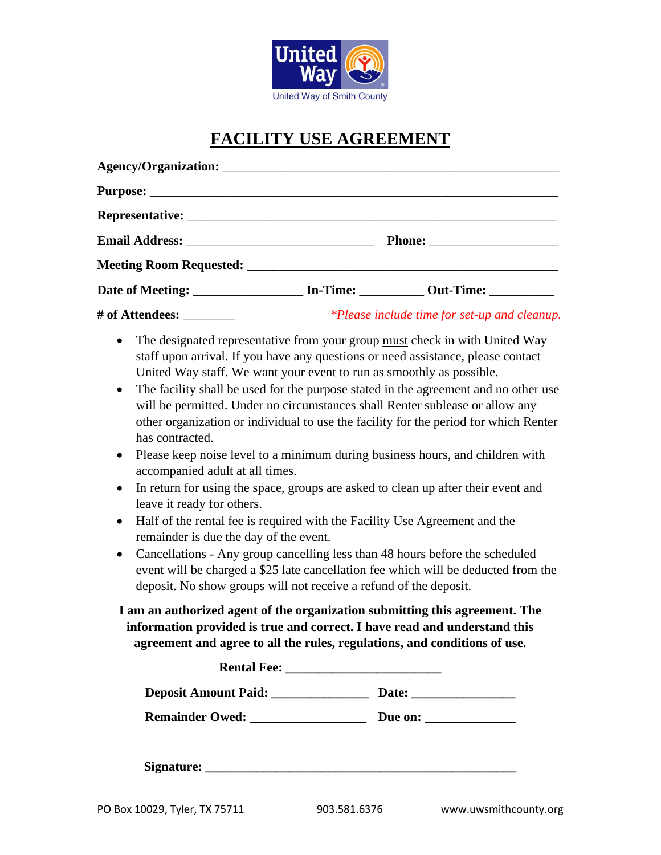

# **FACILITY USE AGREEMENT**

|  | <i>*Please include time for set-up and cleanup.</i> |  |
|--|-----------------------------------------------------|--|

- The designated representative from your group must check in with United Way staff upon arrival. If you have any questions or need assistance, please contact United Way staff. We want your event to run as smoothly as possible.
- The facility shall be used for the purpose stated in the agreement and no other use will be permitted. Under no circumstances shall Renter sublease or allow any other organization or individual to use the facility for the period for which Renter has contracted.
- Please keep noise level to a minimum during business hours, and children with accompanied adult at all times.
- In return for using the space, groups are asked to clean up after their event and leave it ready for others.
- Half of the rental fee is required with the Facility Use Agreement and the remainder is due the day of the event.
- Cancellations Any group cancelling less than 48 hours before the scheduled event will be charged a \$25 late cancellation fee which will be deducted from the deposit. No show groups will not receive a refund of the deposit.

## **I am an authorized agent of the organization submitting this agreement. The information provided is true and correct. I have read and understand this agreement and agree to all the rules, regulations, and conditions of use.**

| Deposit Amount Paid: __________________ |                         |
|-----------------------------------------|-------------------------|
|                                         | Due on: $\qquad \qquad$ |
|                                         |                         |
| Signature:                              |                         |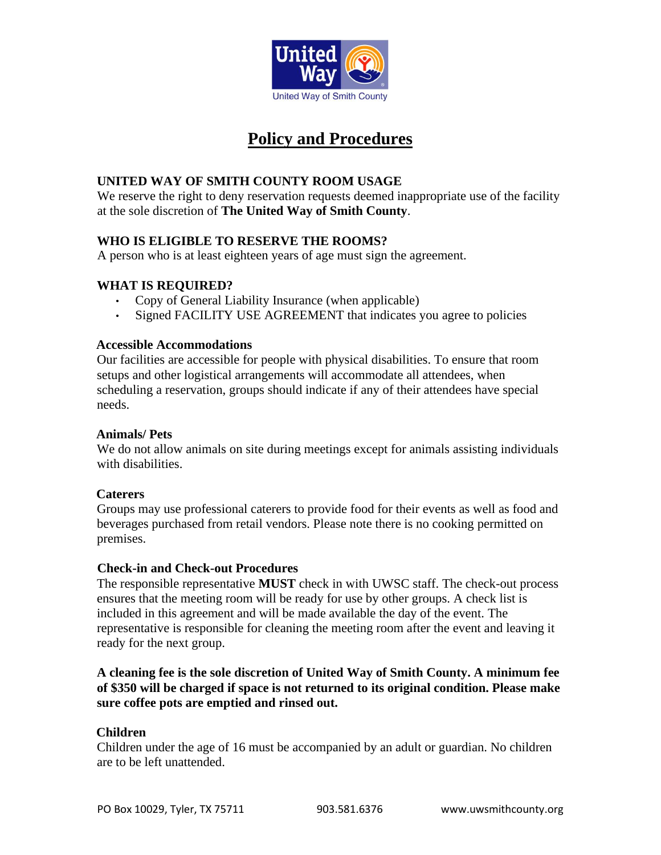

## **Policy and Procedures**

## **UNITED WAY OF SMITH COUNTY ROOM USAGE**

We reserve the right to deny reservation requests deemed inappropriate use of the facility at the sole discretion of **The United Way of Smith County**.

## **WHO IS ELIGIBLE TO RESERVE THE ROOMS?**

A person who is at least eighteen years of age must sign the agreement.

## **WHAT IS REQUIRED?**

- Copy of General Liability Insurance (when applicable)
- Signed FACILITY USE AGREEMENT that indicates you agree to policies

## **Accessible Accommodations**

Our facilities are accessible for people with physical disabilities. To ensure that room setups and other logistical arrangements will accommodate all attendees, when scheduling a reservation, groups should indicate if any of their attendees have special needs.

## **Animals/ Pets**

We do not allow animals on site during meetings except for animals assisting individuals with disabilities.

### **Caterers**

Groups may use professional caterers to provide food for their events as well as food and beverages purchased from retail vendors. Please note there is no cooking permitted on premises.

### **Check-in and Check-out Procedures**

The responsible representative **MUST** check in with UWSC staff. The check-out process ensures that the meeting room will be ready for use by other groups. A check list is included in this agreement and will be made available the day of the event. The representative is responsible for cleaning the meeting room after the event and leaving it ready for the next group.

## **A cleaning fee is the sole discretion of United Way of Smith County. A minimum fee of \$350 will be charged if space is not returned to its original condition. Please make sure coffee pots are emptied and rinsed out.**

## **Children**

Children under the age of 16 must be accompanied by an adult or guardian. No children are to be left unattended.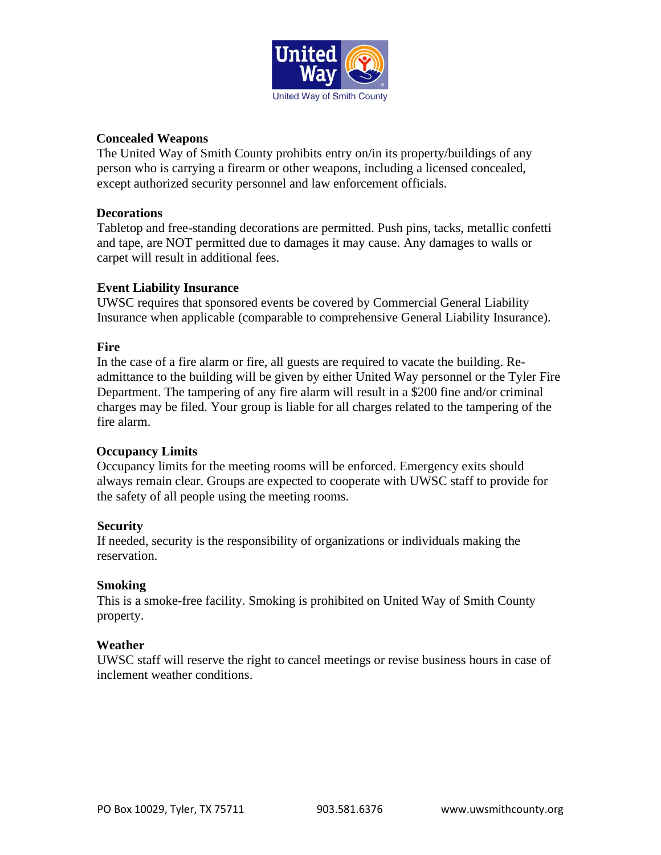

### **Concealed Weapons**

The United Way of Smith County prohibits entry on/in its property/buildings of any person who is carrying a firearm or other weapons, including a licensed concealed, except authorized security personnel and law enforcement officials.

### **Decorations**

Tabletop and free-standing decorations are permitted. Push pins, tacks, metallic confetti and tape, are NOT permitted due to damages it may cause. Any damages to walls or carpet will result in additional fees.

### **Event Liability Insurance**

UWSC requires that sponsored events be covered by Commercial General Liability Insurance when applicable (comparable to comprehensive General Liability Insurance).

#### **Fire**

In the case of a fire alarm or fire, all guests are required to vacate the building. Readmittance to the building will be given by either United Way personnel or the Tyler Fire Department. The tampering of any fire alarm will result in a \$200 fine and/or criminal charges may be filed. Your group is liable for all charges related to the tampering of the fire alarm.

### **Occupancy Limits**

Occupancy limits for the meeting rooms will be enforced. Emergency exits should always remain clear. Groups are expected to cooperate with UWSC staff to provide for the safety of all people using the meeting rooms.

### **Security**

If needed, security is the responsibility of organizations or individuals making the reservation.

### **Smoking**

This is a smoke-free facility. Smoking is prohibited on United Way of Smith County property.

#### **Weather**

UWSC staff will reserve the right to cancel meetings or revise business hours in case of inclement weather conditions.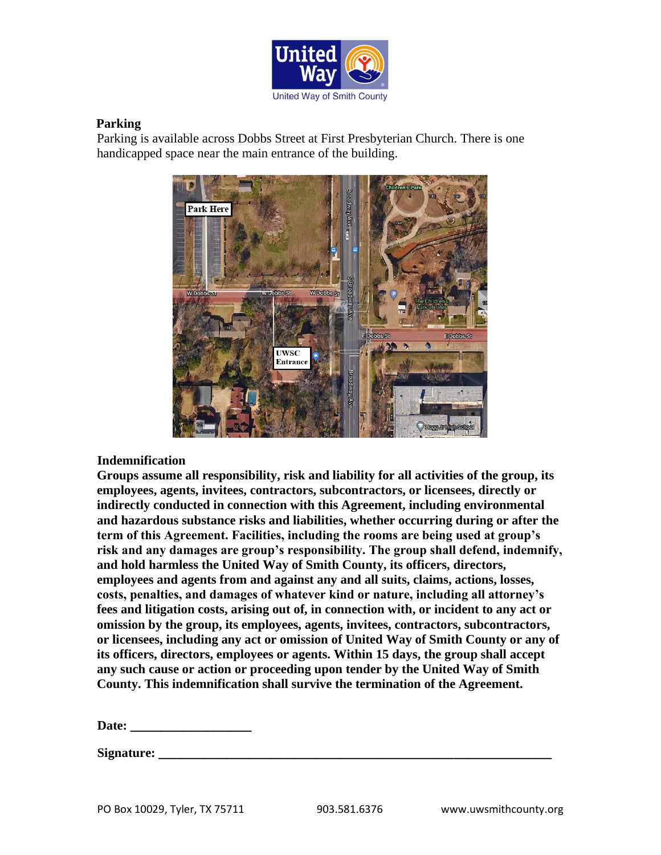

## **Parking**

Parking is available across Dobbs Street at First Presbyterian Church. There is one handicapped space near the main entrance of the building.



### **Indemnification**

**Groups assume all responsibility, risk and liability for all activities of the group, its employees, agents, invitees, contractors, subcontractors, or licensees, directly or indirectly conducted in connection with this Agreement, including environmental and hazardous substance risks and liabilities, whether occurring during or after the term of this Agreement. Facilities, including the rooms are being used at group's risk and any damages are group's responsibility. The group shall defend, indemnify, and hold harmless the United Way of Smith County, its officers, directors, employees and agents from and against any and all suits, claims, actions, losses, costs, penalties, and damages of whatever kind or nature, including all attorney's fees and litigation costs, arising out of, in connection with, or incident to any act or omission by the group, its employees, agents, invitees, contractors, subcontractors, or licensees, including any act or omission of United Way of Smith County or any of its officers, directors, employees or agents. Within 15 days, the group shall accept any such cause or action or proceeding upon tender by the United Way of Smith County. This indemnification shall survive the termination of the Agreement.** 

**Date: \_\_\_\_\_\_\_\_\_\_\_\_\_\_\_\_**

**Signature: \_\_\_\_\_\_\_\_\_\_\_\_\_\_\_\_\_\_\_\_\_\_\_\_\_\_\_\_\_\_\_\_\_\_\_\_\_\_\_\_\_\_\_\_\_\_\_\_\_\_\_\_**